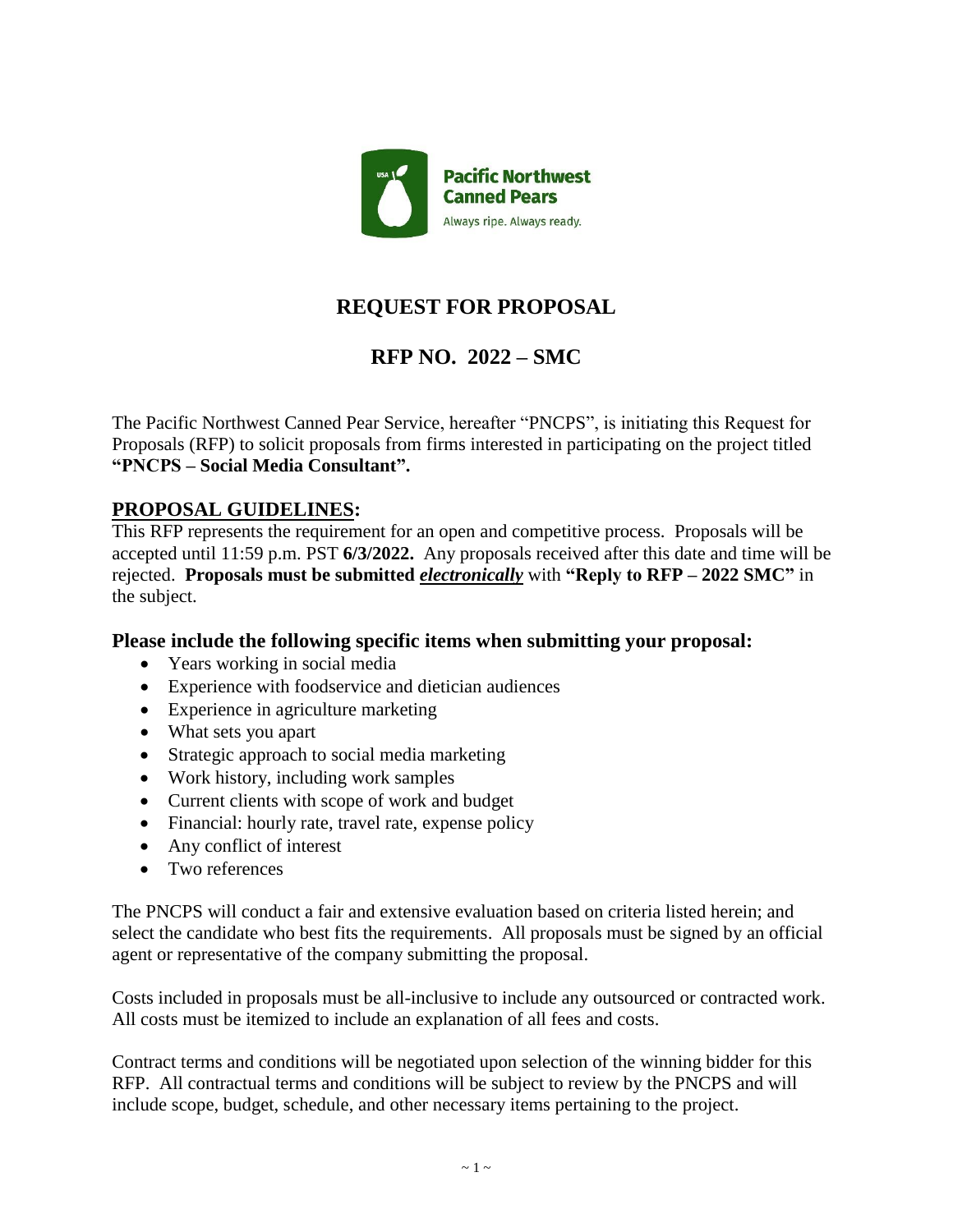

# **REQUEST FOR PROPOSAL**

# **RFP NO. 2022 – SMC**

The Pacific Northwest Canned Pear Service, hereafter "PNCPS", is initiating this Request for Proposals (RFP) to solicit proposals from firms interested in participating on the project titled **"PNCPS – Social Media Consultant".**

### **PROPOSAL GUIDELINES:**

This RFP represents the requirement for an open and competitive process. Proposals will be accepted until 11:59 p.m. PST **6/3/2022.** Any proposals received after this date and time will be rejected. **Proposals must be submitted** *electronically* with **"Reply to RFP – 2022 SMC"** in the subject.

### **Please include the following specific items when submitting your proposal:**

- Years working in social media
- Experience with foodservice and dietician audiences
- Experience in agriculture marketing
- What sets you apart
- Strategic approach to social media marketing
- Work history, including work samples
- Current clients with scope of work and budget
- Financial: hourly rate, travel rate, expense policy
- Any conflict of interest
- Two references

The PNCPS will conduct a fair and extensive evaluation based on criteria listed herein; and select the candidate who best fits the requirements. All proposals must be signed by an official agent or representative of the company submitting the proposal.

Costs included in proposals must be all-inclusive to include any outsourced or contracted work. All costs must be itemized to include an explanation of all fees and costs.

Contract terms and conditions will be negotiated upon selection of the winning bidder for this RFP. All contractual terms and conditions will be subject to review by the PNCPS and will include scope, budget, schedule, and other necessary items pertaining to the project.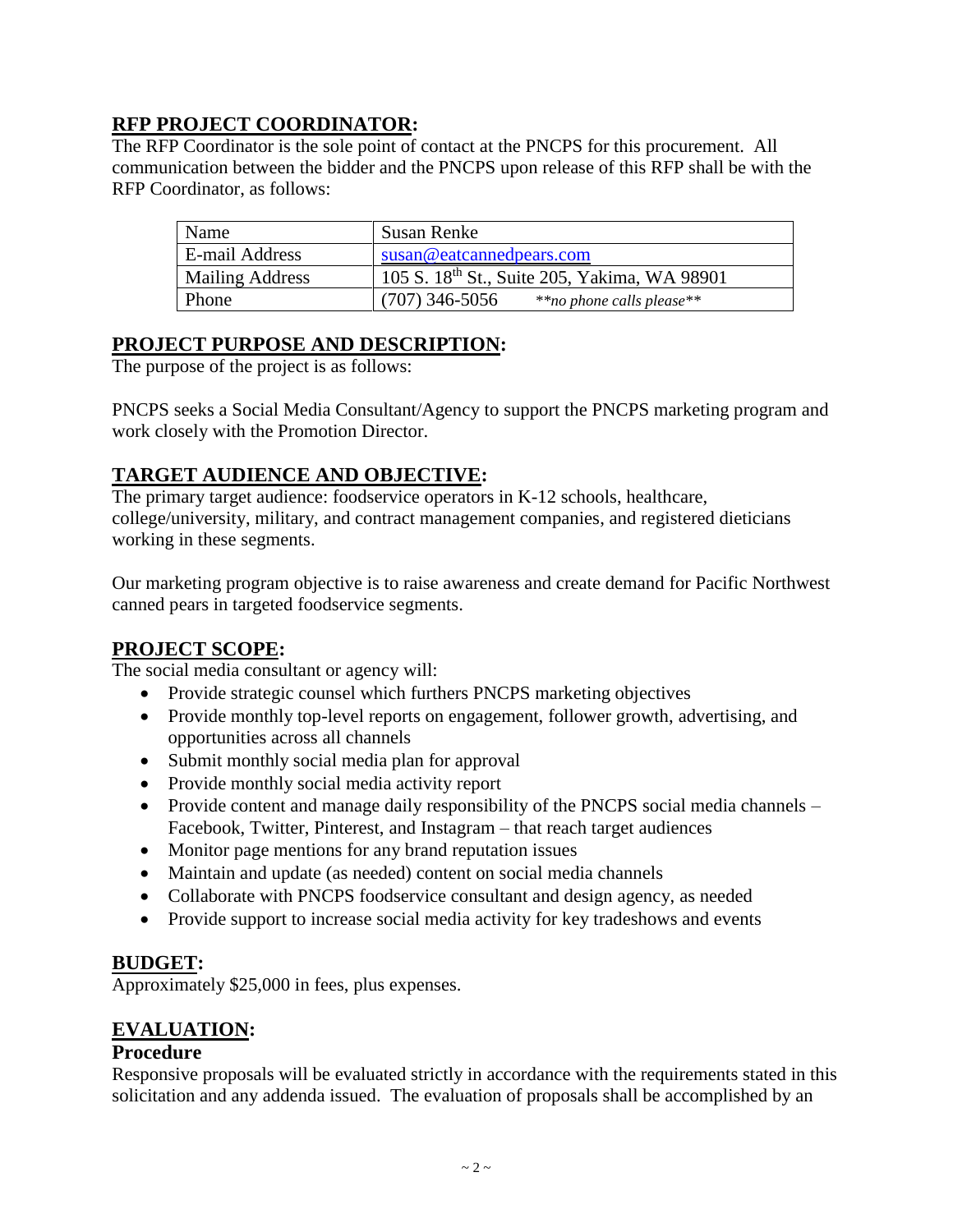# **RFP PROJECT COORDINATOR:**

The RFP Coordinator is the sole point of contact at the PNCPS for this procurement. All communication between the bidder and the PNCPS upon release of this RFP shall be with the RFP Coordinator, as follows:

| Name                   | Susan Renke                                              |
|------------------------|----------------------------------------------------------|
| E-mail Address         | susan@eataannedpears.com                                 |
| <b>Mailing Address</b> | 105 S. 18 <sup>th</sup> St., Suite 205, Yakima, WA 98901 |
| Phone                  | $(707)$ 346-5056<br>**no phone calls please**            |

# **PROJECT PURPOSE AND DESCRIPTION:**

The purpose of the project is as follows:

PNCPS seeks a Social Media Consultant/Agency to support the PNCPS marketing program and work closely with the Promotion Director.

# **TARGET AUDIENCE AND OBJECTIVE:**

The primary target audience: foodservice operators in K-12 schools, healthcare, college/university, military, and contract management companies, and registered dieticians working in these segments.

Our marketing program objective is to raise awareness and create demand for Pacific Northwest canned pears in targeted foodservice segments.

# **PROJECT SCOPE:**

The social media consultant or agency will:

- Provide strategic counsel which furthers PNCPS marketing objectives
- Provide monthly top-level reports on engagement, follower growth, advertising, and opportunities across all channels
- Submit monthly social media plan for approval
- Provide monthly social media activity report
- Provide content and manage daily responsibility of the PNCPS social media channels Facebook, Twitter, Pinterest, and Instagram – that reach target audiences
- Monitor page mentions for any brand reputation issues
- Maintain and update (as needed) content on social media channels
- Collaborate with PNCPS foodservice consultant and design agency, as needed
- Provide support to increase social media activity for key tradeshows and events

### **BUDGET:**

Approximately \$25,000 in fees, plus expenses.

# **EVALUATION:**

### **Procedure**

Responsive proposals will be evaluated strictly in accordance with the requirements stated in this solicitation and any addenda issued. The evaluation of proposals shall be accomplished by an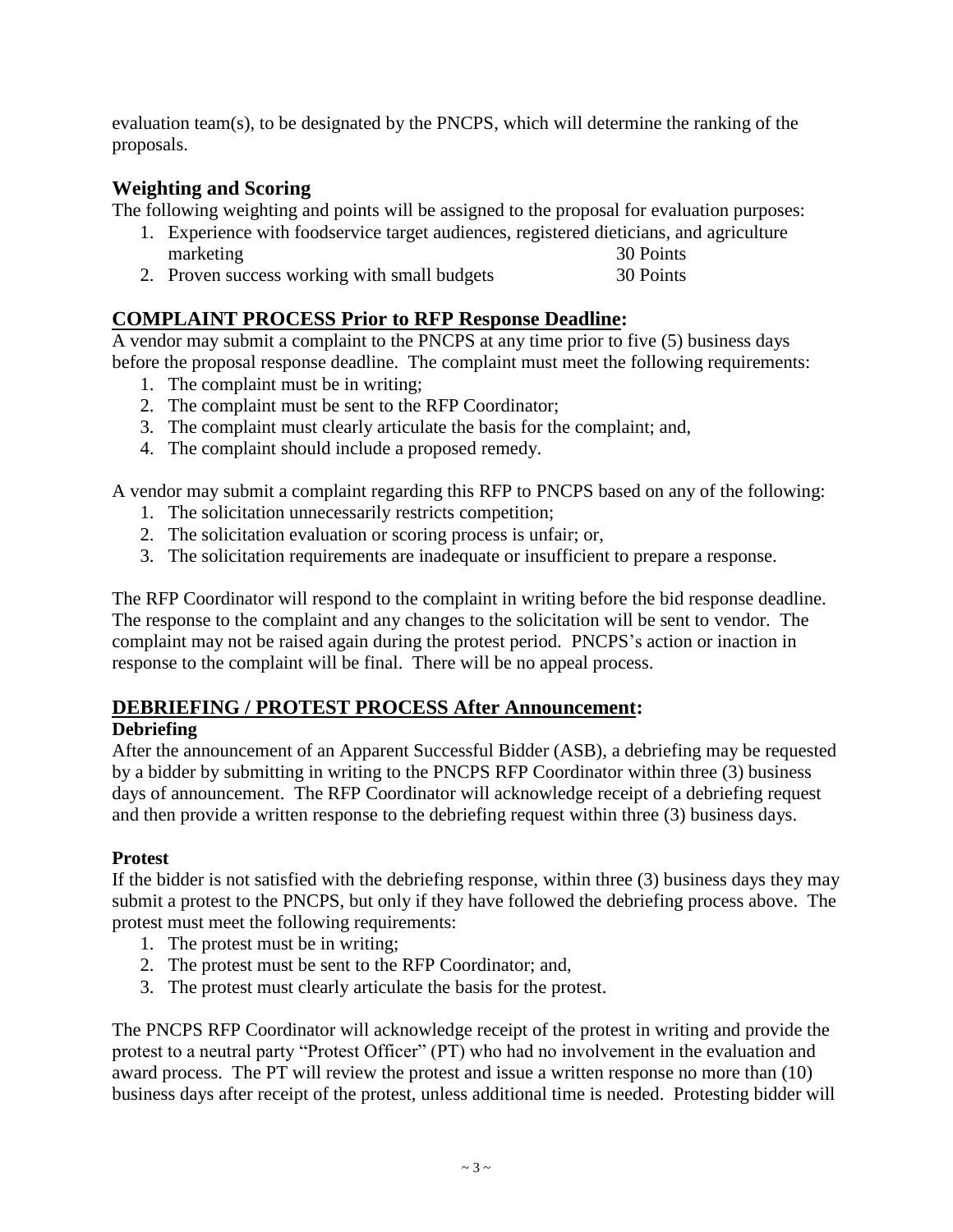evaluation team(s), to be designated by the PNCPS, which will determine the ranking of the proposals.

## **Weighting and Scoring**

The following weighting and points will be assigned to the proposal for evaluation purposes:

- 1. Experience with foodservice target audiences, registered dieticians, and agriculture marketing 30 Points
- 2. Proven success working with small budgets 30 Points

### **COMPLAINT PROCESS Prior to RFP Response Deadline:**

A vendor may submit a complaint to the PNCPS at any time prior to five (5) business days before the proposal response deadline. The complaint must meet the following requirements:

- 1. The complaint must be in writing;
- 2. The complaint must be sent to the RFP Coordinator;
- 3. The complaint must clearly articulate the basis for the complaint; and,
- 4. The complaint should include a proposed remedy.

A vendor may submit a complaint regarding this RFP to PNCPS based on any of the following:

- 1. The solicitation unnecessarily restricts competition;
- 2. The solicitation evaluation or scoring process is unfair; or,
- 3. The solicitation requirements are inadequate or insufficient to prepare a response.

The RFP Coordinator will respond to the complaint in writing before the bid response deadline. The response to the complaint and any changes to the solicitation will be sent to vendor. The complaint may not be raised again during the protest period. PNCPS's action or inaction in response to the complaint will be final. There will be no appeal process.

### **DEBRIEFING / PROTEST PROCESS After Announcement:**

### **Debriefing**

After the announcement of an Apparent Successful Bidder (ASB), a debriefing may be requested by a bidder by submitting in writing to the PNCPS RFP Coordinator within three (3) business days of announcement. The RFP Coordinator will acknowledge receipt of a debriefing request and then provide a written response to the debriefing request within three (3) business days.

### **Protest**

If the bidder is not satisfied with the debriefing response, within three (3) business days they may submit a protest to the PNCPS, but only if they have followed the debriefing process above. The protest must meet the following requirements:

- 1. The protest must be in writing;
- 2. The protest must be sent to the RFP Coordinator; and,
- 3. The protest must clearly articulate the basis for the protest.

The PNCPS RFP Coordinator will acknowledge receipt of the protest in writing and provide the protest to a neutral party "Protest Officer" (PT) who had no involvement in the evaluation and award process. The PT will review the protest and issue a written response no more than (10) business days after receipt of the protest, unless additional time is needed. Protesting bidder will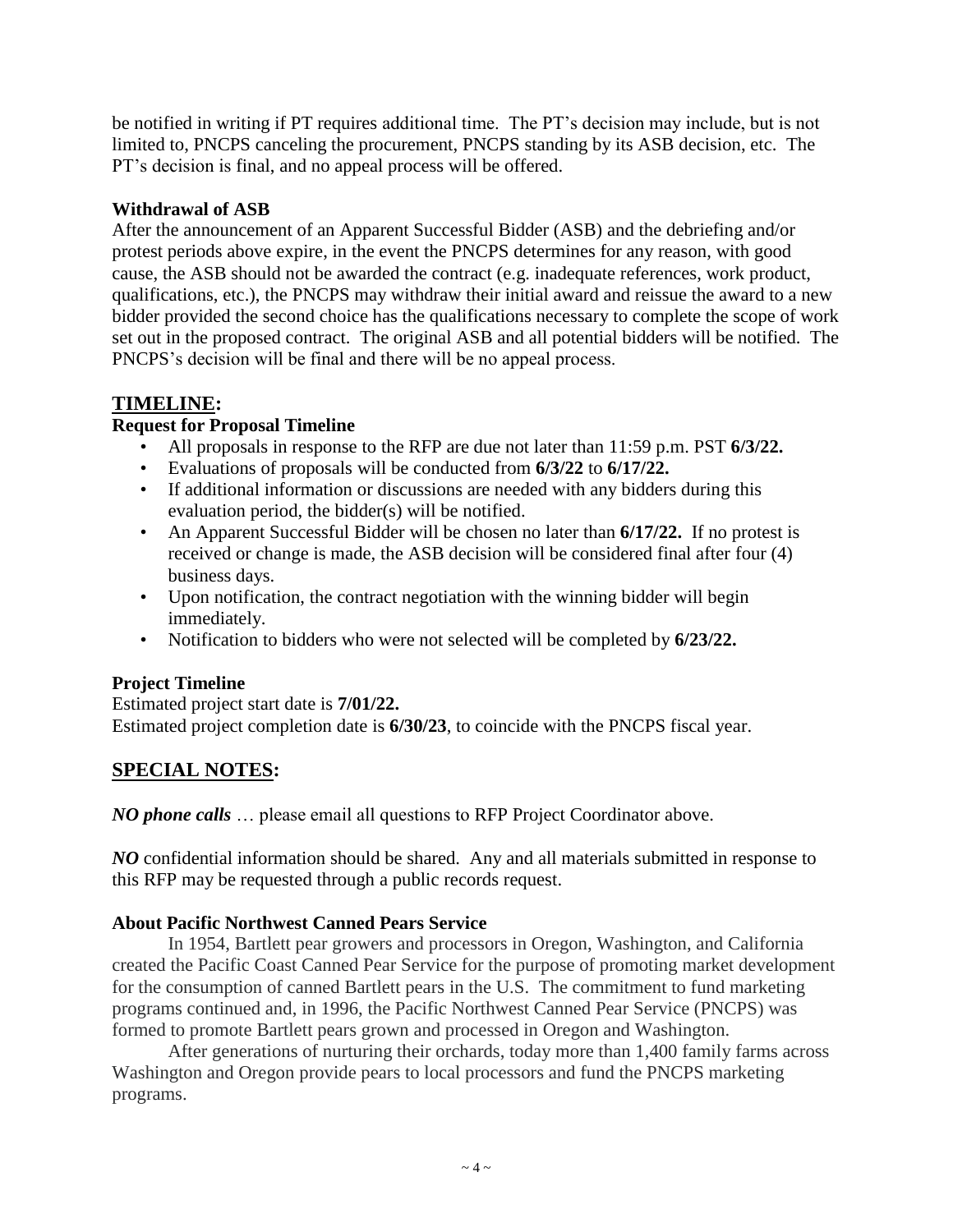be notified in writing if PT requires additional time. The PT's decision may include, but is not limited to, PNCPS canceling the procurement, PNCPS standing by its ASB decision, etc. The PT's decision is final, and no appeal process will be offered.

### **Withdrawal of ASB**

After the announcement of an Apparent Successful Bidder (ASB) and the debriefing and/or protest periods above expire, in the event the PNCPS determines for any reason, with good cause, the ASB should not be awarded the contract (e.g. inadequate references, work product, qualifications, etc.), the PNCPS may withdraw their initial award and reissue the award to a new bidder provided the second choice has the qualifications necessary to complete the scope of work set out in the proposed contract. The original ASB and all potential bidders will be notified. The PNCPS's decision will be final and there will be no appeal process.

# **TIMELINE:**

### **Request for Proposal Timeline**

- All proposals in response to the RFP are due not later than 11:59 p.m. PST **6/3/22.**
- Evaluations of proposals will be conducted from **6/3/22** to **6/17/22.**
- If additional information or discussions are needed with any bidders during this evaluation period, the bidder(s) will be notified.
- An Apparent Successful Bidder will be chosen no later than **6/17/22.** If no protest is received or change is made, the ASB decision will be considered final after four (4) business days.
- Upon notification, the contract negotiation with the winning bidder will begin immediately.
- Notification to bidders who were not selected will be completed by **6/23/22.**

### **Project Timeline**

Estimated project start date is **7/01/22.** Estimated project completion date is **6/30/23**, to coincide with the PNCPS fiscal year.

# **SPECIAL NOTES:**

*NO phone calls* ... please email all questions to RFP Project Coordinator above.

*NO* confidential information should be shared. Any and all materials submitted in response to this RFP may be requested through a public records request.

### **About Pacific Northwest Canned Pears Service**

In 1954, Bartlett pear growers and processors in Oregon, Washington, and California created the Pacific Coast Canned Pear Service for the purpose of promoting market development for the consumption of canned Bartlett pears in the U.S. The commitment to fund marketing programs continued and, in 1996, the Pacific Northwest Canned Pear Service (PNCPS) was formed to promote Bartlett pears grown and processed in Oregon and Washington.

After generations of nurturing their orchards, today more than 1,400 family farms across Washington and Oregon provide pears to local processors and fund the PNCPS marketing programs.